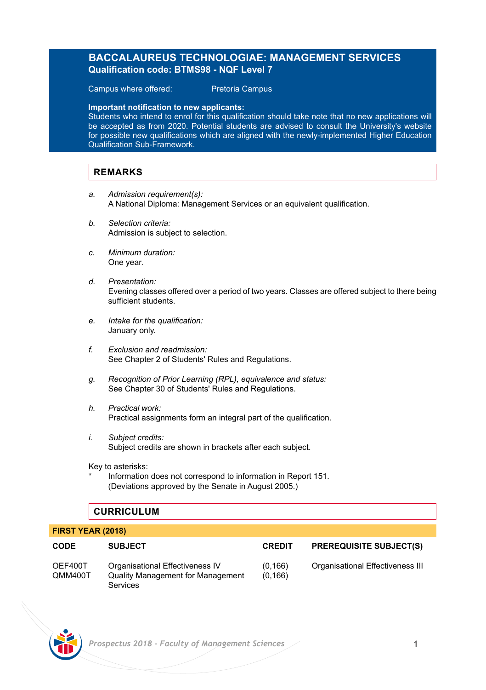# **BACCALAUREUS TECHNOLOGIAE: MANAGEMENT SERVICES Qualification code: BTMS98 - NQF Level 7**

Campus where offered: Pretoria Campus

**Important notification to new applicants:** 

Students who intend to enrol for this qualification should take note that no new applications will be accepted as from 2020. Potential students are advised to consult the University's website for possible new qualifications which are aligned with the newly-implemented Higher Education Qualification Sub-Framework.

# **REMARKS**

- *a. Admission requirement(s):* A National Diploma: Management Services or an equivalent qualification.
- *b. Selection criteria:* Admission is subject to selection.
- *c. Minimum duration:* One year.
- *d. Presentation:* Evening classes offered over a period of two years. Classes are offered subject to there being sufficient students.
- *e. Intake for the qualification:* January only.
- *f. Exclusion and readmission:* See Chapter 2 of Students' Rules and Regulations.
- *g. Recognition of Prior Learning (RPL), equivalence and status:* See Chapter 30 of Students' Rules and Regulations.
- *h. Practical work:* Practical assignments form an integral part of the qualification.
- *i. Subject credits:* Subject credits are shown in brackets after each subject.

Key to asterisks:

Information does not correspond to information in Report 151. (Deviations approved by the Senate in August 2005.)

# **CURRICULUM**

### **FIRST YEAR (2018)**

| <b>CODE</b>        | <b>SUBJECT</b>                                                                          | <b>CREDIT</b>      | <b>PREREQUISITE SUBJECT(S)</b>   |
|--------------------|-----------------------------------------------------------------------------------------|--------------------|----------------------------------|
| OEF400T<br>QMM400T | Organisational Effectiveness IV<br><b>Quality Management for Management</b><br>Services | (0.166)<br>(0.166) | Organisational Effectiveness III |

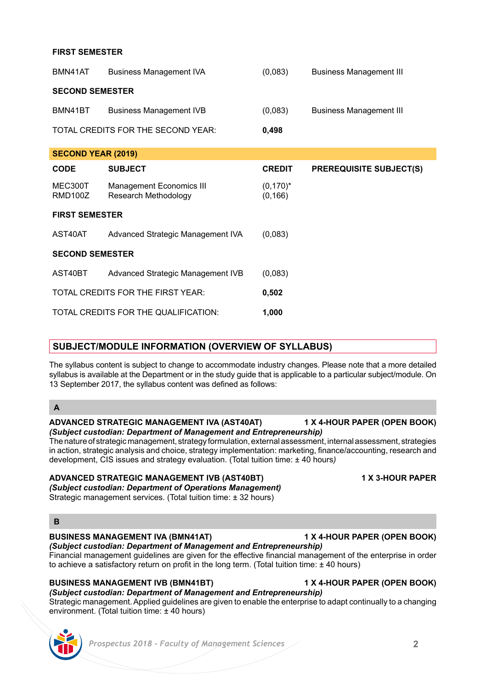### **FIRST SEMESTER**

| BMN41AT                   | <b>Business Management IVA</b>                   | (0,083)                 | <b>Business Management III</b> |  |  |
|---------------------------|--------------------------------------------------|-------------------------|--------------------------------|--|--|
| <b>SECOND SEMESTER</b>    |                                                  |                         |                                |  |  |
| BMN41BT                   | <b>Business Management IVB</b>                   | (0,083)                 | <b>Business Management III</b> |  |  |
|                           | TOTAL CREDITS FOR THE SECOND YEAR:               | 0,498                   |                                |  |  |
| <b>SECOND YEAR (2019)</b> |                                                  |                         |                                |  |  |
| <b>CODE</b>               | <b>SUBJECT</b>                                   | <b>CREDIT</b>           | <b>PREREQUISITE SUBJECT(S)</b> |  |  |
| MEC300T<br>RMD100Z        | Management Economics III<br>Research Methodology | $(0,170)^*$<br>(0, 166) |                                |  |  |
| <b>FIRST SEMESTER</b>     |                                                  |                         |                                |  |  |
| AST40AT                   | Advanced Strategic Management IVA                | (0,083)                 |                                |  |  |
| <b>SECOND SEMESTER</b>    |                                                  |                         |                                |  |  |
| AST40BT                   | Advanced Strategic Management IVB                | (0,083)                 |                                |  |  |
|                           | TOTAL CREDITS FOR THE FIRST YEAR:                | 0,502                   |                                |  |  |
|                           | TOTAL CREDITS FOR THE QUALIFICATION:             | 1,000                   |                                |  |  |

## **SUBJECT/MODULE INFORMATION (OVERVIEW OF SYLLABUS)**

The syllabus content is subject to change to accommodate industry changes. Please note that a more detailed syllabus is available at the Department or in the study guide that is applicable to a particular subject/module. On 13 September 2017, the syllabus content was defined as follows:

# **A**

### **ADVANCED STRATEGIC MANAGEMENT IVA (AST40AT) 1 X 4-HOUR PAPER (OPEN BOOK)** *(Subject custodian: Department of Management and Entrepreneurship)*

The nature of strategic management, strategy formulation, external assessment, internal assessment, strategies in action, strategic analysis and choice, strategy implementation: marketing, finance/accounting, research and development, CIS issues and strategy evaluation. (Total tuition time: ± 40 hours*)*

### **ADVANCED STRATEGIC MANAGEMENT IVB (AST40BT) 1 X 3-HOUR PAPER**

*(Subject custodian: Department of Operations Management)* Strategic management services. (Total tuition time: + 32 hours)

### **B**

## **BUSINESS MANAGEMENT IVA (BMN41AT) 1 X 4-HOUR PAPER (OPEN BOOK)**

### *(Subject custodian: Department of Management and Entrepreneurship)* Financial management guidelines are given for the effective financial management of the enterprise in order

to achieve a satisfactory return on profit in the long term. (Total tuition time: ± 40 hours)

## **BUSINESS MANAGEMENT IVB (BMN41BT) 1 X 4-HOUR PAPER (OPEN BOOK)**

*(Subject custodian: Department of Management and Entrepreneurship)* Strategic management. Applied guidelines are given to enable the enterprise to adapt continually to a changing environment. (Total tuition time: ± 40 hours)